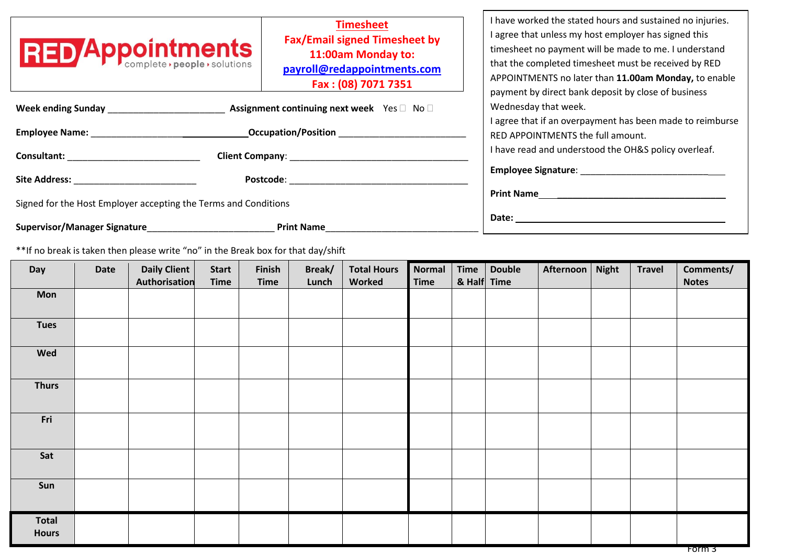| <b>RED Appointments</b>                                                                                                                                                                                                                                          | <b>Timesheet</b><br><b>Fax/Email signed Timesheet by</b><br>11:00am Monday to:<br>payroll@redappointments.com<br>Fax: (08) 7071 7351                                                                                           | I have worked the stated hours and sustained no injuries.<br>I agree that unless my host employer has signed this<br>timesheet no payment will be made to me. I understand<br>that the completed timesheet must be received by RED<br>APPOINTMENTS no later than 11.00am Monday, to enable<br>payment by direct bank deposit by close of business |
|------------------------------------------------------------------------------------------------------------------------------------------------------------------------------------------------------------------------------------------------------------------|--------------------------------------------------------------------------------------------------------------------------------------------------------------------------------------------------------------------------------|---------------------------------------------------------------------------------------------------------------------------------------------------------------------------------------------------------------------------------------------------------------------------------------------------------------------------------------------------|
| Week ending Sunday New York 1999<br><b>Assignment continuing next week</b> Yes □ No □                                                                                                                                                                            | Wednesday that week.<br>I agree that if an overpayment has been made to reimburse                                                                                                                                              |                                                                                                                                                                                                                                                                                                                                                   |
| <b>Occupation/Position</b><br><b>Employee Name:</b> The contract of the contract of the contract of the contract of the contract of the contract of the contract of the contract of the contract of the contract of the contract of the contract of the contract | RED APPOINTMENTS the full amount.                                                                                                                                                                                              |                                                                                                                                                                                                                                                                                                                                                   |
| <b>Consultant: Consultant: Consultant: Consultant: Consultant: Consultant: Consultant: Consultant: Consultant: Consultant: Consultant: Consultant: Consultant: Consultant: Consultant: Consultant:</b><br>Client Company: New York Client Company:               | I have read and understood the OH&S policy overleaf.                                                                                                                                                                           |                                                                                                                                                                                                                                                                                                                                                   |
| Site Address: The Site Address:                                                                                                                                                                                                                                  | Postcode: with a state of the state of the state of the state of the state of the state of the state of the state of the state of the state of the state of the state of the state of the state of the state of the state of t | Employee Signature: Note and the state of the state of the state of the state of the state of the state of the                                                                                                                                                                                                                                    |
| Signed for the Host Employer accepting the Terms and Conditions                                                                                                                                                                                                  | <b>Print Name</b>                                                                                                                                                                                                              |                                                                                                                                                                                                                                                                                                                                                   |
| <b>Supervisor/Manager Signature</b>                                                                                                                                                                                                                              | <b>Print Name</b>                                                                                                                                                                                                              | Date: the contract of the contract of the contract of the contract of the contract of the contract of the contract of the contract of the contract of the contract of the contract of the contract of the contract of the cont                                                                                                                    |

\*\*If no break is taken then please write "no" in the Break box for that day/shift

| Day                   | Date | Daily Client  | <b>Start</b> | Finish | Break/ | <b>Total Hours</b> | Normal      | Time        | <b>Double</b> | Afternoon | <b>Night</b> | <b>Travel</b> | Comments/    |
|-----------------------|------|---------------|--------------|--------|--------|--------------------|-------------|-------------|---------------|-----------|--------------|---------------|--------------|
|                       |      | Authorisation | <b>Time</b>  | Time   | Lunch  | Worked             | <b>Time</b> | & Half Time |               |           |              |               | <b>Notes</b> |
| Mon                   |      |               |              |        |        |                    |             |             |               |           |              |               |              |
| <b>Tues</b>           |      |               |              |        |        |                    |             |             |               |           |              |               |              |
| Wed                   |      |               |              |        |        |                    |             |             |               |           |              |               |              |
| <b>Thurs</b>          |      |               |              |        |        |                    |             |             |               |           |              |               |              |
| Fri                   |      |               |              |        |        |                    |             |             |               |           |              |               |              |
| Sat                   |      |               |              |        |        |                    |             |             |               |           |              |               |              |
| Sun                   |      |               |              |        |        |                    |             |             |               |           |              |               |              |
| Total<br><b>Hours</b> |      |               |              |        |        |                    |             |             |               |           |              |               |              |